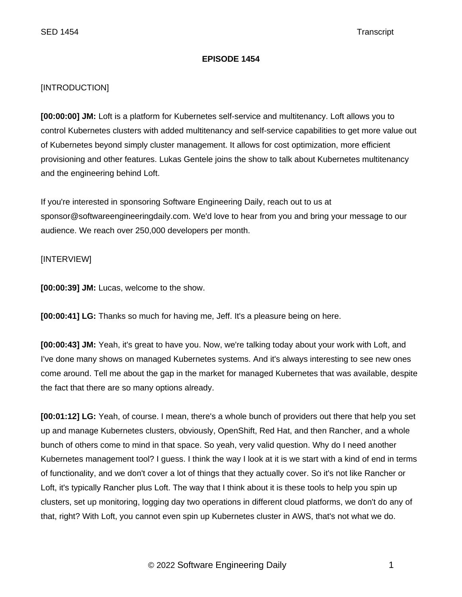# **EPISODE 1454**

## [INTRODUCTION]

**[00:00:00] JM:** Loft is a platform for Kubernetes self-service and multitenancy. Loft allows you to control Kubernetes clusters with added multitenancy and self-service capabilities to get more value out of Kubernetes beyond simply cluster management. It allows for cost optimization, more efficient provisioning and other features. Lukas Gentele joins the show to talk about Kubernetes multitenancy and the engineering behind Loft.

If you're interested in sponsoring Software Engineering Daily, reach out to us at sponsor@softwareengineeringdaily.com. We'd love to hear from you and bring your message to our audience. We reach over 250,000 developers per month.

## [INTERVIEW]

**[00:00:39] JM:** Lucas, welcome to the show.

**[00:00:41] LG:** Thanks so much for having me, Jeff. It's a pleasure being on here.

**[00:00:43] JM:** Yeah, it's great to have you. Now, we're talking today about your work with Loft, and I've done many shows on managed Kubernetes systems. And it's always interesting to see new ones come around. Tell me about the gap in the market for managed Kubernetes that was available, despite the fact that there are so many options already.

**[00:01:12] LG:** Yeah, of course. I mean, there's a whole bunch of providers out there that help you set up and manage Kubernetes clusters, obviously, OpenShift, Red Hat, and then Rancher, and a whole bunch of others come to mind in that space. So yeah, very valid question. Why do I need another Kubernetes management tool? I guess. I think the way I look at it is we start with a kind of end in terms of functionality, and we don't cover a lot of things that they actually cover. So it's not like Rancher or Loft, it's typically Rancher plus Loft. The way that I think about it is these tools to help you spin up clusters, set up monitoring, logging day two operations in different cloud platforms, we don't do any of that, right? With Loft, you cannot even spin up Kubernetes cluster in AWS, that's not what we do.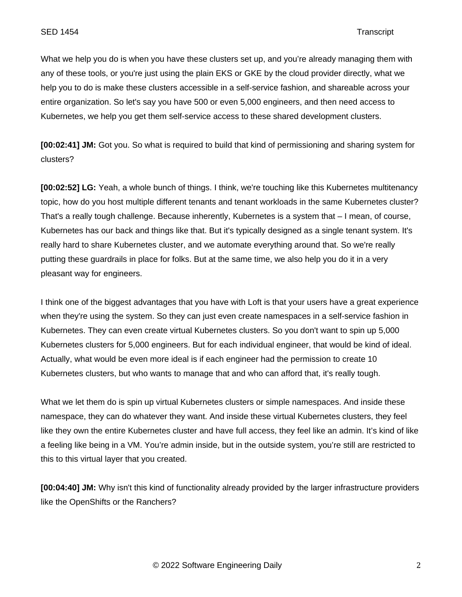What we help you do is when you have these clusters set up, and you're already managing them with any of these tools, or you're just using the plain EKS or GKE by the cloud provider directly, what we help you to do is make these clusters accessible in a self-service fashion, and shareable across your entire organization. So let's say you have 500 or even 5,000 engineers, and then need access to Kubernetes, we help you get them self-service access to these shared development clusters.

**[00:02:41] JM:** Got you. So what is required to build that kind of permissioning and sharing system for clusters?

**[00:02:52] LG:** Yeah, a whole bunch of things. I think, we're touching like this Kubernetes multitenancy topic, how do you host multiple different tenants and tenant workloads in the same Kubernetes cluster? That's a really tough challenge. Because inherently, Kubernetes is a system that – I mean, of course, Kubernetes has our back and things like that. But it's typically designed as a single tenant system. It's really hard to share Kubernetes cluster, and we automate everything around that. So we're really putting these guardrails in place for folks. But at the same time, we also help you do it in a very pleasant way for engineers.

I think one of the biggest advantages that you have with Loft is that your users have a great experience when they're using the system. So they can just even create namespaces in a self-service fashion in Kubernetes. They can even create virtual Kubernetes clusters. So you don't want to spin up 5,000 Kubernetes clusters for 5,000 engineers. But for each individual engineer, that would be kind of ideal. Actually, what would be even more ideal is if each engineer had the permission to create 10 Kubernetes clusters, but who wants to manage that and who can afford that, it's really tough.

What we let them do is spin up virtual Kubernetes clusters or simple namespaces. And inside these namespace, they can do whatever they want. And inside these virtual Kubernetes clusters, they feel like they own the entire Kubernetes cluster and have full access, they feel like an admin. It's kind of like a feeling like being in a VM. You're admin inside, but in the outside system, you're still are restricted to this to this virtual layer that you created.

**[00:04:40] JM:** Why isn't this kind of functionality already provided by the larger infrastructure providers like the OpenShifts or the Ranchers?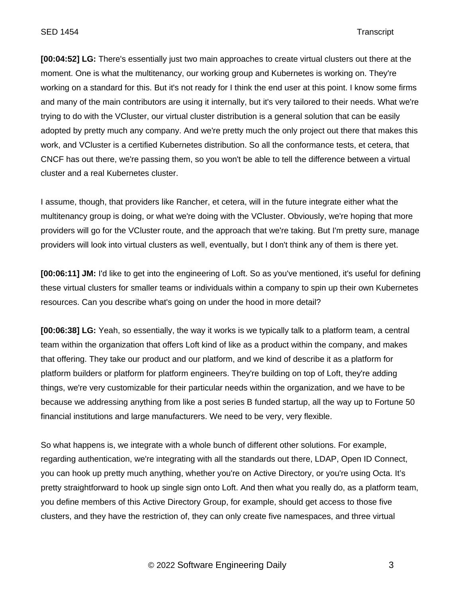### SED 1454 Transcript

**[00:04:52] LG:** There's essentially just two main approaches to create virtual clusters out there at the moment. One is what the multitenancy, our working group and Kubernetes is working on. They're working on a standard for this. But it's not ready for I think the end user at this point. I know some firms and many of the main contributors are using it internally, but it's very tailored to their needs. What we're trying to do with the VCluster, our virtual cluster distribution is a general solution that can be easily adopted by pretty much any company. And we're pretty much the only project out there that makes this work, and VCluster is a certified Kubernetes distribution. So all the conformance tests, et cetera, that CNCF has out there, we're passing them, so you won't be able to tell the difference between a virtual cluster and a real Kubernetes cluster.

I assume, though, that providers like Rancher, et cetera, will in the future integrate either what the multitenancy group is doing, or what we're doing with the VCluster. Obviously, we're hoping that more providers will go for the VCluster route, and the approach that we're taking. But I'm pretty sure, manage providers will look into virtual clusters as well, eventually, but I don't think any of them is there yet.

**[00:06:11] JM:** I'd like to get into the engineering of Loft. So as you've mentioned, it's useful for defining these virtual clusters for smaller teams or individuals within a company to spin up their own Kubernetes resources. Can you describe what's going on under the hood in more detail?

**[00:06:38] LG:** Yeah, so essentially, the way it works is we typically talk to a platform team, a central team within the organization that offers Loft kind of like as a product within the company, and makes that offering. They take our product and our platform, and we kind of describe it as a platform for platform builders or platform for platform engineers. They're building on top of Loft, they're adding things, we're very customizable for their particular needs within the organization, and we have to be because we addressing anything from like a post series B funded startup, all the way up to Fortune 50 financial institutions and large manufacturers. We need to be very, very flexible.

So what happens is, we integrate with a whole bunch of different other solutions. For example, regarding authentication, we're integrating with all the standards out there, LDAP, Open ID Connect, you can hook up pretty much anything, whether you're on Active Directory, or you're using Octa. It's pretty straightforward to hook up single sign onto Loft. And then what you really do, as a platform team, you define members of this Active Directory Group, for example, should get access to those five clusters, and they have the restriction of, they can only create five namespaces, and three virtual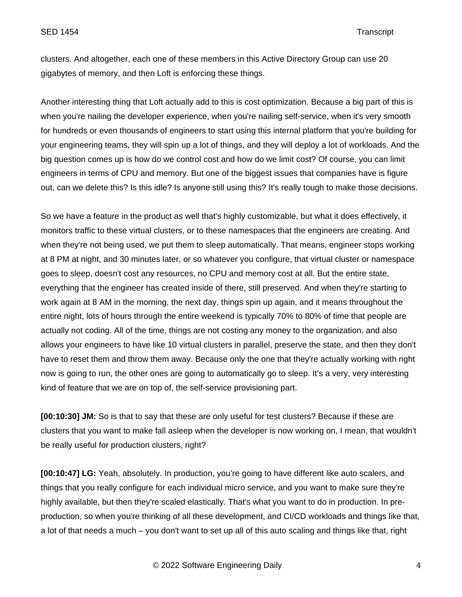clusters. And altogether, each one of these members in this Active Directory Group can use 20 gigabytes of memory, and then Loft is enforcing these things.

Another interesting thing that Loft actually add to this is cost optimization. Because a big part of this is when you're nailing the developer experience, when you're nailing self-service, when it's very smooth for hundreds or even thousands of engineers to start using this internal platform that you're building for your engineering teams, they will spin up a lot of things, and they will deploy a lot of workloads. And the big question comes up is how do we control cost and how do we limit cost? Of course, you can limit engineers in terms of CPU and memory. But one of the biggest issues that companies have is figure out, can we delete this? Is this idle? Is anyone still using this? It's really tough to make those decisions.

So we have a feature in the product as well that's highly customizable, but what it does effectively, it monitors traffic to these virtual clusters, or to these namespaces that the engineers are creating. And when they're not being used, we put them to sleep automatically. That means, engineer stops working at 8 PM at night, and 30 minutes later, or so whatever you configure, that virtual cluster or namespace goes to sleep, doesn't cost any resources, no CPU and memory cost at all. But the entire state, everything that the engineer has created inside of there, still preserved. And when they're starting to work again at 8 AM in the morning, the next day, things spin up again, and it means throughout the entire night, lots of hours through the entire weekend is typically 70% to 80% of time that people are actually not coding. All of the time, things are not costing any money to the organization, and also allows your engineers to have like 10 virtual clusters in parallel, preserve the state, and then they don't have to reset them and throw them away. Because only the one that they're actually working with right now is going to run, the other ones are going to automatically go to sleep. It's a very, very interesting kind of feature that we are on top of, the self-service provisioning part.

**[00:10:30] JM:** So is that to say that these are only useful for test clusters? Because if these are clusters that you want to make fall asleep when the developer is now working on, I mean, that wouldn't be really useful for production clusters, right?

**[00:10:47] LG:** Yeah, absolutely. In production, you're going to have different like auto scalers, and things that you really configure for each individual micro service, and you want to make sure they're highly available, but then they're scaled elastically. That's what you want to do in production. In preproduction, so when you're thinking of all these development, and CI/CD workloads and things like that, a lot of that needs a much – you don't want to set up all of this auto scaling and things like that, right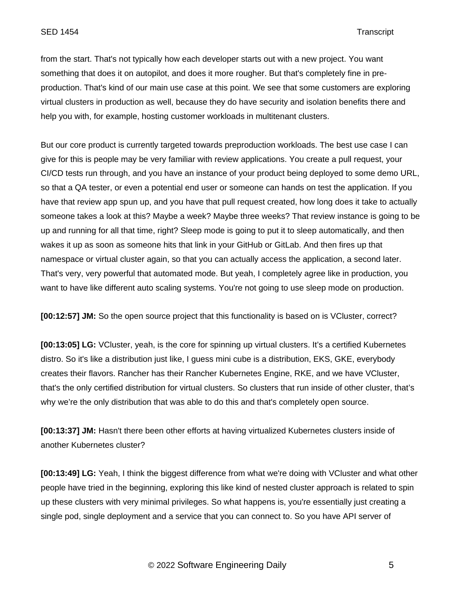from the start. That's not typically how each developer starts out with a new project. You want something that does it on autopilot, and does it more rougher. But that's completely fine in preproduction. That's kind of our main use case at this point. We see that some customers are exploring virtual clusters in production as well, because they do have security and isolation benefits there and help you with, for example, hosting customer workloads in multitenant clusters.

But our core product is currently targeted towards preproduction workloads. The best use case I can give for this is people may be very familiar with review applications. You create a pull request, your CI/CD tests run through, and you have an instance of your product being deployed to some demo URL, so that a QA tester, or even a potential end user or someone can hands on test the application. If you have that review app spun up, and you have that pull request created, how long does it take to actually someone takes a look at this? Maybe a week? Maybe three weeks? That review instance is going to be up and running for all that time, right? Sleep mode is going to put it to sleep automatically, and then wakes it up as soon as someone hits that link in your GitHub or GitLab. And then fires up that namespace or virtual cluster again, so that you can actually access the application, a second later. That's very, very powerful that automated mode. But yeah, I completely agree like in production, you want to have like different auto scaling systems. You're not going to use sleep mode on production.

**[00:12:57] JM:** So the open source project that this functionality is based on is VCluster, correct?

**[00:13:05] LG:** VCluster, yeah, is the core for spinning up virtual clusters. It's a certified Kubernetes distro. So it's like a distribution just like, I guess mini cube is a distribution, EKS, GKE, everybody creates their flavors. Rancher has their Rancher Kubernetes Engine, RKE, and we have VCluster, that's the only certified distribution for virtual clusters. So clusters that run inside of other cluster, that's why we're the only distribution that was able to do this and that's completely open source.

**[00:13:37] JM:** Hasn't there been other efforts at having virtualized Kubernetes clusters inside of another Kubernetes cluster?

**[00:13:49] LG:** Yeah, I think the biggest difference from what we're doing with VCluster and what other people have tried in the beginning, exploring this like kind of nested cluster approach is related to spin up these clusters with very minimal privileges. So what happens is, you're essentially just creating a single pod, single deployment and a service that you can connect to. So you have API server of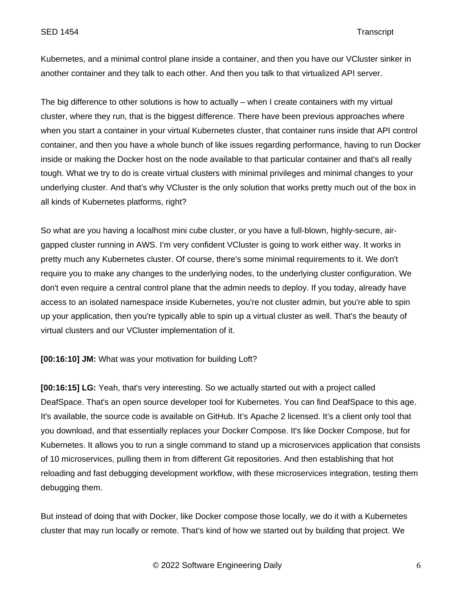Kubernetes, and a minimal control plane inside a container, and then you have our VCluster sinker in another container and they talk to each other. And then you talk to that virtualized API server.

The big difference to other solutions is how to actually – when I create containers with my virtual cluster, where they run, that is the biggest difference. There have been previous approaches where when you start a container in your virtual Kubernetes cluster, that container runs inside that API control container, and then you have a whole bunch of like issues regarding performance, having to run Docker inside or making the Docker host on the node available to that particular container and that's all really tough. What we try to do is create virtual clusters with minimal privileges and minimal changes to your underlying cluster. And that's why VCluster is the only solution that works pretty much out of the box in all kinds of Kubernetes platforms, right?

So what are you having a localhost mini cube cluster, or you have a full-blown, highly-secure, airgapped cluster running in AWS. I'm very confident VCluster is going to work either way. It works in pretty much any Kubernetes cluster. Of course, there's some minimal requirements to it. We don't require you to make any changes to the underlying nodes, to the underlying cluster configuration. We don't even require a central control plane that the admin needs to deploy. If you today, already have access to an isolated namespace inside Kubernetes, you're not cluster admin, but you're able to spin up your application, then you're typically able to spin up a virtual cluster as well. That's the beauty of virtual clusters and our VCluster implementation of it.

**[00:16:10] JM:** What was your motivation for building Loft?

**[00:16:15] LG:** Yeah, that's very interesting. So we actually started out with a project called DeafSpace. That's an open source developer tool for Kubernetes. You can find DeafSpace to this age. It's available, the source code is available on GitHub. It's Apache 2 licensed. It's a client only tool that you download, and that essentially replaces your Docker Compose. It's like Docker Compose, but for Kubernetes. It allows you to run a single command to stand up a microservices application that consists of 10 microservices, pulling them in from different Git repositories. And then establishing that hot reloading and fast debugging development workflow, with these microservices integration, testing them debugging them.

But instead of doing that with Docker, like Docker compose those locally, we do it with a Kubernetes cluster that may run locally or remote. That's kind of how we started out by building that project. We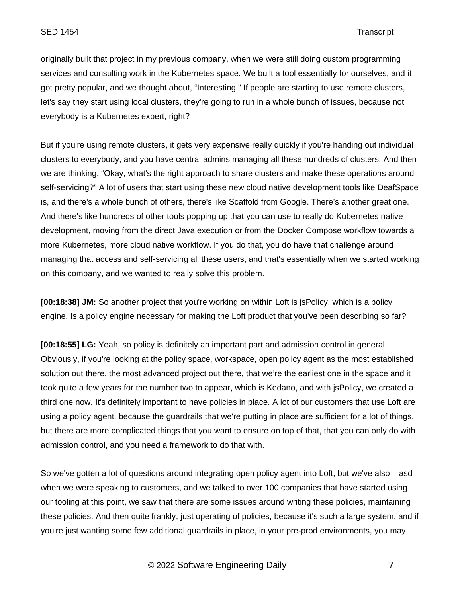originally built that project in my previous company, when we were still doing custom programming services and consulting work in the Kubernetes space. We built a tool essentially for ourselves, and it got pretty popular, and we thought about, "Interesting." If people are starting to use remote clusters, let's say they start using local clusters, they're going to run in a whole bunch of issues, because not everybody is a Kubernetes expert, right?

But if you're using remote clusters, it gets very expensive really quickly if you're handing out individual clusters to everybody, and you have central admins managing all these hundreds of clusters. And then we are thinking, "Okay, what's the right approach to share clusters and make these operations around self-servicing?" A lot of users that start using these new cloud native development tools like DeafSpace is, and there's a whole bunch of others, there's like Scaffold from Google. There's another great one. And there's like hundreds of other tools popping up that you can use to really do Kubernetes native development, moving from the direct Java execution or from the Docker Compose workflow towards a more Kubernetes, more cloud native workflow. If you do that, you do have that challenge around managing that access and self-servicing all these users, and that's essentially when we started working on this company, and we wanted to really solve this problem.

**[00:18:38] JM:** So another project that you're working on within Loft is jsPolicy, which is a policy engine. Is a policy engine necessary for making the Loft product that you've been describing so far?

**[00:18:55] LG:** Yeah, so policy is definitely an important part and admission control in general. Obviously, if you're looking at the policy space, workspace, open policy agent as the most established solution out there, the most advanced project out there, that we're the earliest one in the space and it took quite a few years for the number two to appear, which is Kedano, and with jsPolicy, we created a third one now. It's definitely important to have policies in place. A lot of our customers that use Loft are using a policy agent, because the guardrails that we're putting in place are sufficient for a lot of things, but there are more complicated things that you want to ensure on top of that, that you can only do with admission control, and you need a framework to do that with.

So we've gotten a lot of questions around integrating open policy agent into Loft, but we've also – asd when we were speaking to customers, and we talked to over 100 companies that have started using our tooling at this point, we saw that there are some issues around writing these policies, maintaining these policies. And then quite frankly, just operating of policies, because it's such a large system, and if you're just wanting some few additional guardrails in place, in your pre-prod environments, you may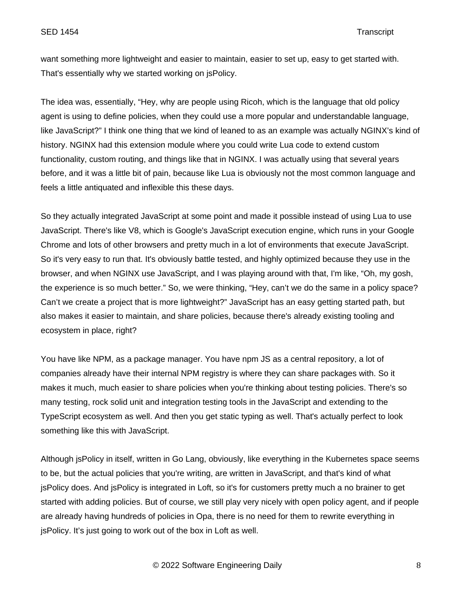want something more lightweight and easier to maintain, easier to set up, easy to get started with. That's essentially why we started working on jsPolicy.

The idea was, essentially, "Hey, why are people using Ricoh, which is the language that old policy agent is using to define policies, when they could use a more popular and understandable language, like JavaScript?" I think one thing that we kind of leaned to as an example was actually NGINX's kind of history. NGINX had this extension module where you could write Lua code to extend custom functionality, custom routing, and things like that in NGINX. I was actually using that several years before, and it was a little bit of pain, because like Lua is obviously not the most common language and feels a little antiquated and inflexible this these days.

So they actually integrated JavaScript at some point and made it possible instead of using Lua to use JavaScript. There's like V8, which is Google's JavaScript execution engine, which runs in your Google Chrome and lots of other browsers and pretty much in a lot of environments that execute JavaScript. So it's very easy to run that. It's obviously battle tested, and highly optimized because they use in the browser, and when NGINX use JavaScript, and I was playing around with that, I'm like, "Oh, my gosh, the experience is so much better." So, we were thinking, "Hey, can't we do the same in a policy space? Can't we create a project that is more lightweight?" JavaScript has an easy getting started path, but also makes it easier to maintain, and share policies, because there's already existing tooling and ecosystem in place, right?

You have like NPM, as a package manager. You have npm JS as a central repository, a lot of companies already have their internal NPM registry is where they can share packages with. So it makes it much, much easier to share policies when you're thinking about testing policies. There's so many testing, rock solid unit and integration testing tools in the JavaScript and extending to the TypeScript ecosystem as well. And then you get static typing as well. That's actually perfect to look something like this with JavaScript.

Although jsPolicy in itself, written in Go Lang, obviously, like everything in the Kubernetes space seems to be, but the actual policies that you're writing, are written in JavaScript, and that's kind of what jsPolicy does. And jsPolicy is integrated in Loft, so it's for customers pretty much a no brainer to get started with adding policies. But of course, we still play very nicely with open policy agent, and if people are already having hundreds of policies in Opa, there is no need for them to rewrite everything in jsPolicy. It's just going to work out of the box in Loft as well.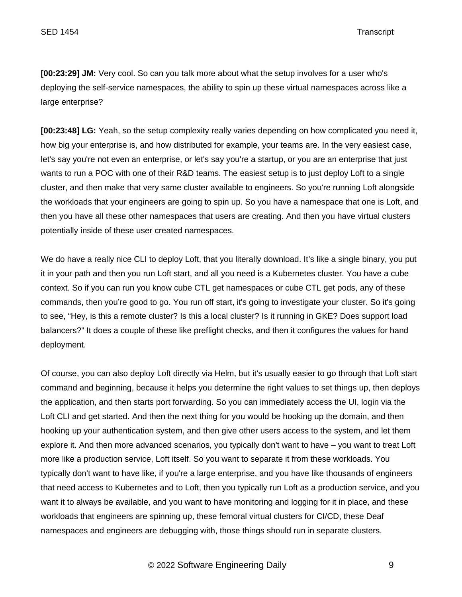**[00:23:29] JM:** Very cool. So can you talk more about what the setup involves for a user who's deploying the self-service namespaces, the ability to spin up these virtual namespaces across like a large enterprise?

**[00:23:48] LG:** Yeah, so the setup complexity really varies depending on how complicated you need it, how big your enterprise is, and how distributed for example, your teams are. In the very easiest case, let's say you're not even an enterprise, or let's say you're a startup, or you are an enterprise that just wants to run a POC with one of their R&D teams. The easiest setup is to just deploy Loft to a single cluster, and then make that very same cluster available to engineers. So you're running Loft alongside the workloads that your engineers are going to spin up. So you have a namespace that one is Loft, and then you have all these other namespaces that users are creating. And then you have virtual clusters potentially inside of these user created namespaces.

We do have a really nice CLI to deploy Loft, that you literally download. It's like a single binary, you put it in your path and then you run Loft start, and all you need is a Kubernetes cluster. You have a cube context. So if you can run you know cube CTL get namespaces or cube CTL get pods, any of these commands, then you're good to go. You run off start, it's going to investigate your cluster. So it's going to see, "Hey, is this a remote cluster? Is this a local cluster? Is it running in GKE? Does support load balancers?" It does a couple of these like preflight checks, and then it configures the values for hand deployment.

Of course, you can also deploy Loft directly via Helm, but it's usually easier to go through that Loft start command and beginning, because it helps you determine the right values to set things up, then deploys the application, and then starts port forwarding. So you can immediately access the UI, login via the Loft CLI and get started. And then the next thing for you would be hooking up the domain, and then hooking up your authentication system, and then give other users access to the system, and let them explore it. And then more advanced scenarios, you typically don't want to have – you want to treat Loft more like a production service, Loft itself. So you want to separate it from these workloads. You typically don't want to have like, if you're a large enterprise, and you have like thousands of engineers that need access to Kubernetes and to Loft, then you typically run Loft as a production service, and you want it to always be available, and you want to have monitoring and logging for it in place, and these workloads that engineers are spinning up, these femoral virtual clusters for CI/CD, these Deaf namespaces and engineers are debugging with, those things should run in separate clusters.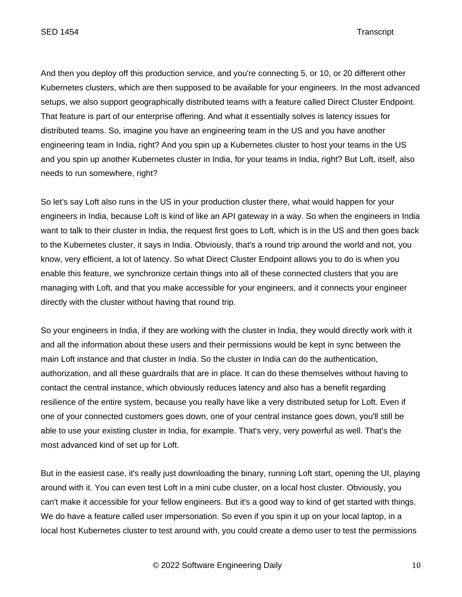And then you deploy off this production service, and you're connecting 5, or 10, or 20 different other Kubernetes clusters, which are then supposed to be available for your engineers. In the most advanced setups, we also support geographically distributed teams with a feature called Direct Cluster Endpoint. That feature is part of our enterprise offering. And what it essentially solves is latency issues for distributed teams. So, imagine you have an engineering team in the US and you have another engineering team in India, right? And you spin up a Kubernetes cluster to host your teams in the US and you spin up another Kubernetes cluster in India, for your teams in India, right? But Loft, itself, also needs to run somewhere, right?

So let's say Loft also runs in the US in your production cluster there, what would happen for your engineers in India, because Loft is kind of like an API gateway in a way. So when the engineers in India want to talk to their cluster in India, the request first goes to Loft, which is in the US and then goes back to the Kubernetes cluster, it says in India. Obviously, that's a round trip around the world and not, you know, very efficient, a lot of latency. So what Direct Cluster Endpoint allows you to do is when you enable this feature, we synchronize certain things into all of these connected clusters that you are managing with Loft, and that you make accessible for your engineers, and it connects your engineer directly with the cluster without having that round trip.

So your engineers in India, if they are working with the cluster in India, they would directly work with it and all the information about these users and their permissions would be kept in sync between the main Loft instance and that cluster in India. So the cluster in India can do the authentication, authorization, and all these guardrails that are in place. It can do these themselves without having to contact the central instance, which obviously reduces latency and also has a benefit regarding resilience of the entire system, because you really have like a very distributed setup for Loft. Even if one of your connected customers goes down, one of your central instance goes down, you'll still be able to use your existing cluster in India, for example. That's very, very powerful as well. That's the most advanced kind of set up for Loft.

But in the easiest case, it's really just downloading the binary, running Loft start, opening the UI, playing around with it. You can even test Loft in a mini cube cluster, on a local host cluster. Obviously, you can't make it accessible for your fellow engineers. But it's a good way to kind of get started with things. We do have a feature called user impersonation. So even if you spin it up on your local laptop, in a local host Kubernetes cluster to test around with, you could create a demo user to test the permissions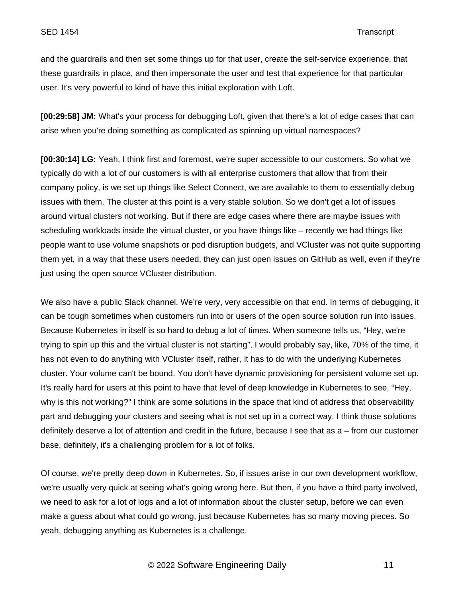and the guardrails and then set some things up for that user, create the self-service experience, that these guardrails in place, and then impersonate the user and test that experience for that particular user. It's very powerful to kind of have this initial exploration with Loft.

**[00:29:58] JM:** What's your process for debugging Loft, given that there's a lot of edge cases that can arise when you're doing something as complicated as spinning up virtual namespaces?

**[00:30:14] LG:** Yeah, I think first and foremost, we're super accessible to our customers. So what we typically do with a lot of our customers is with all enterprise customers that allow that from their company policy, is we set up things like Select Connect, we are available to them to essentially debug issues with them. The cluster at this point is a very stable solution. So we don't get a lot of issues around virtual clusters not working. But if there are edge cases where there are maybe issues with scheduling workloads inside the virtual cluster, or you have things like – recently we had things like people want to use volume snapshots or pod disruption budgets, and VCluster was not quite supporting them yet, in a way that these users needed, they can just open issues on GitHub as well, even if they're just using the open source VCluster distribution.

We also have a public Slack channel. We're very, very accessible on that end. In terms of debugging, it can be tough sometimes when customers run into or users of the open source solution run into issues. Because Kubernetes in itself is so hard to debug a lot of times. When someone tells us, "Hey, we're trying to spin up this and the virtual cluster is not starting", I would probably say, like, 70% of the time, it has not even to do anything with VCluster itself, rather, it has to do with the underlying Kubernetes cluster. Your volume can't be bound. You don't have dynamic provisioning for persistent volume set up. It's really hard for users at this point to have that level of deep knowledge in Kubernetes to see, "Hey, why is this not working?" I think are some solutions in the space that kind of address that observability part and debugging your clusters and seeing what is not set up in a correct way. I think those solutions definitely deserve a lot of attention and credit in the future, because I see that as a – from our customer base, definitely, it's a challenging problem for a lot of folks.

Of course, we're pretty deep down in Kubernetes. So, if issues arise in our own development workflow, we're usually very quick at seeing what's going wrong here. But then, if you have a third party involved, we need to ask for a lot of logs and a lot of information about the cluster setup, before we can even make a guess about what could go wrong, just because Kubernetes has so many moving pieces. So yeah, debugging anything as Kubernetes is a challenge.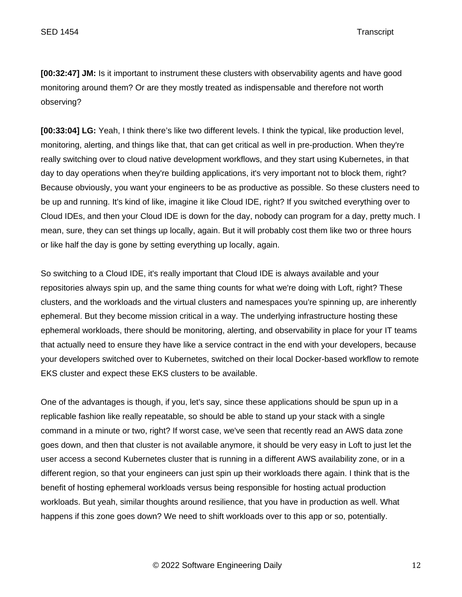**[00:32:47] JM:** Is it important to instrument these clusters with observability agents and have good monitoring around them? Or are they mostly treated as indispensable and therefore not worth observing?

**[00:33:04] LG:** Yeah, I think there's like two different levels. I think the typical, like production level, monitoring, alerting, and things like that, that can get critical as well in pre-production. When they're really switching over to cloud native development workflows, and they start using Kubernetes, in that day to day operations when they're building applications, it's very important not to block them, right? Because obviously, you want your engineers to be as productive as possible. So these clusters need to be up and running. It's kind of like, imagine it like Cloud IDE, right? If you switched everything over to Cloud IDEs, and then your Cloud IDE is down for the day, nobody can program for a day, pretty much. I mean, sure, they can set things up locally, again. But it will probably cost them like two or three hours or like half the day is gone by setting everything up locally, again.

So switching to a Cloud IDE, it's really important that Cloud IDE is always available and your repositories always spin up, and the same thing counts for what we're doing with Loft, right? These clusters, and the workloads and the virtual clusters and namespaces you're spinning up, are inherently ephemeral. But they become mission critical in a way. The underlying infrastructure hosting these ephemeral workloads, there should be monitoring, alerting, and observability in place for your IT teams that actually need to ensure they have like a service contract in the end with your developers, because your developers switched over to Kubernetes, switched on their local Docker-based workflow to remote EKS cluster and expect these EKS clusters to be available.

One of the advantages is though, if you, let's say, since these applications should be spun up in a replicable fashion like really repeatable, so should be able to stand up your stack with a single command in a minute or two, right? If worst case, we've seen that recently read an AWS data zone goes down, and then that cluster is not available anymore, it should be very easy in Loft to just let the user access a second Kubernetes cluster that is running in a different AWS availability zone, or in a different region, so that your engineers can just spin up their workloads there again. I think that is the benefit of hosting ephemeral workloads versus being responsible for hosting actual production workloads. But yeah, similar thoughts around resilience, that you have in production as well. What happens if this zone goes down? We need to shift workloads over to this app or so, potentially.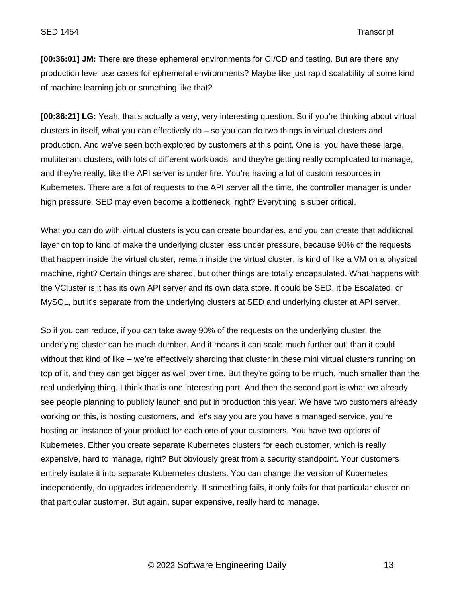**[00:36:01] JM:** There are these ephemeral environments for CI/CD and testing. But are there any production level use cases for ephemeral environments? Maybe like just rapid scalability of some kind of machine learning job or something like that?

**[00:36:21] LG:** Yeah, that's actually a very, very interesting question. So if you're thinking about virtual clusters in itself, what you can effectively do – so you can do two things in virtual clusters and production. And we've seen both explored by customers at this point. One is, you have these large, multitenant clusters, with lots of different workloads, and they're getting really complicated to manage, and they're really, like the API server is under fire. You're having a lot of custom resources in Kubernetes. There are a lot of requests to the API server all the time, the controller manager is under high pressure. SED may even become a bottleneck, right? Everything is super critical.

What you can do with virtual clusters is you can create boundaries, and you can create that additional layer on top to kind of make the underlying cluster less under pressure, because 90% of the requests that happen inside the virtual cluster, remain inside the virtual cluster, is kind of like a VM on a physical machine, right? Certain things are shared, but other things are totally encapsulated. What happens with the VCluster is it has its own API server and its own data store. It could be SED, it be Escalated, or MySQL, but it's separate from the underlying clusters at SED and underlying cluster at API server.

So if you can reduce, if you can take away 90% of the requests on the underlying cluster, the underlying cluster can be much dumber. And it means it can scale much further out, than it could without that kind of like – we're effectively sharding that cluster in these mini virtual clusters running on top of it, and they can get bigger as well over time. But they're going to be much, much smaller than the real underlying thing. I think that is one interesting part. And then the second part is what we already see people planning to publicly launch and put in production this year. We have two customers already working on this, is hosting customers, and let's say you are you have a managed service, you're hosting an instance of your product for each one of your customers. You have two options of Kubernetes. Either you create separate Kubernetes clusters for each customer, which is really expensive, hard to manage, right? But obviously great from a security standpoint. Your customers entirely isolate it into separate Kubernetes clusters. You can change the version of Kubernetes independently, do upgrades independently. If something fails, it only fails for that particular cluster on that particular customer. But again, super expensive, really hard to manage.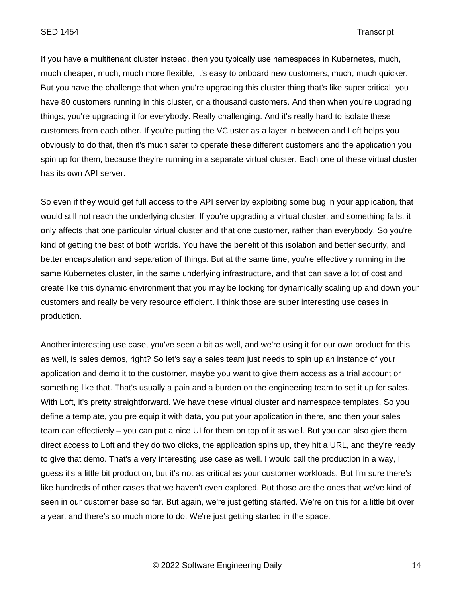If you have a multitenant cluster instead, then you typically use namespaces in Kubernetes, much, much cheaper, much, much more flexible, it's easy to onboard new customers, much, much quicker. But you have the challenge that when you're upgrading this cluster thing that's like super critical, you have 80 customers running in this cluster, or a thousand customers. And then when you're upgrading things, you're upgrading it for everybody. Really challenging. And it's really hard to isolate these customers from each other. If you're putting the VCluster as a layer in between and Loft helps you obviously to do that, then it's much safer to operate these different customers and the application you spin up for them, because they're running in a separate virtual cluster. Each one of these virtual cluster has its own API server.

So even if they would get full access to the API server by exploiting some bug in your application, that would still not reach the underlying cluster. If you're upgrading a virtual cluster, and something fails, it only affects that one particular virtual cluster and that one customer, rather than everybody. So you're kind of getting the best of both worlds. You have the benefit of this isolation and better security, and better encapsulation and separation of things. But at the same time, you're effectively running in the same Kubernetes cluster, in the same underlying infrastructure, and that can save a lot of cost and create like this dynamic environment that you may be looking for dynamically scaling up and down your customers and really be very resource efficient. I think those are super interesting use cases in production.

Another interesting use case, you've seen a bit as well, and we're using it for our own product for this as well, is sales demos, right? So let's say a sales team just needs to spin up an instance of your application and demo it to the customer, maybe you want to give them access as a trial account or something like that. That's usually a pain and a burden on the engineering team to set it up for sales. With Loft, it's pretty straightforward. We have these virtual cluster and namespace templates. So you define a template, you pre equip it with data, you put your application in there, and then your sales team can effectively – you can put a nice UI for them on top of it as well. But you can also give them direct access to Loft and they do two clicks, the application spins up, they hit a URL, and they're ready to give that demo. That's a very interesting use case as well. I would call the production in a way, I guess it's a little bit production, but it's not as critical as your customer workloads. But I'm sure there's like hundreds of other cases that we haven't even explored. But those are the ones that we've kind of seen in our customer base so far. But again, we're just getting started. We're on this for a little bit over a year, and there's so much more to do. We're just getting started in the space.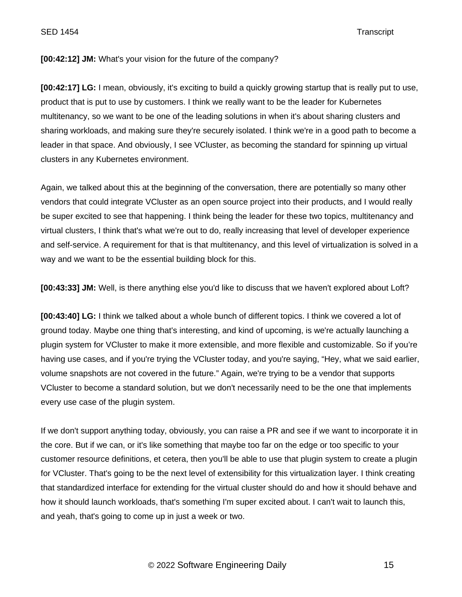SED 1454 Transcript

## **[00:42:12] JM:** What's your vision for the future of the company?

**[00:42:17] LG:** I mean, obviously, it's exciting to build a quickly growing startup that is really put to use, product that is put to use by customers. I think we really want to be the leader for Kubernetes multitenancy, so we want to be one of the leading solutions in when it's about sharing clusters and sharing workloads, and making sure they're securely isolated. I think we're in a good path to become a leader in that space. And obviously, I see VCluster, as becoming the standard for spinning up virtual clusters in any Kubernetes environment.

Again, we talked about this at the beginning of the conversation, there are potentially so many other vendors that could integrate VCluster as an open source project into their products, and I would really be super excited to see that happening. I think being the leader for these two topics, multitenancy and virtual clusters, I think that's what we're out to do, really increasing that level of developer experience and self-service. A requirement for that is that multitenancy, and this level of virtualization is solved in a way and we want to be the essential building block for this.

**[00:43:33] JM:** Well, is there anything else you'd like to discuss that we haven't explored about Loft?

**[00:43:40] LG:** I think we talked about a whole bunch of different topics. I think we covered a lot of ground today. Maybe one thing that's interesting, and kind of upcoming, is we're actually launching a plugin system for VCluster to make it more extensible, and more flexible and customizable. So if you're having use cases, and if you're trying the VCluster today, and you're saying, "Hey, what we said earlier, volume snapshots are not covered in the future." Again, we're trying to be a vendor that supports VCluster to become a standard solution, but we don't necessarily need to be the one that implements every use case of the plugin system.

If we don't support anything today, obviously, you can raise a PR and see if we want to incorporate it in the core. But if we can, or it's like something that maybe too far on the edge or too specific to your customer resource definitions, et cetera, then you'll be able to use that plugin system to create a plugin for VCluster. That's going to be the next level of extensibility for this virtualization layer. I think creating that standardized interface for extending for the virtual cluster should do and how it should behave and how it should launch workloads, that's something I'm super excited about. I can't wait to launch this, and yeah, that's going to come up in just a week or two.